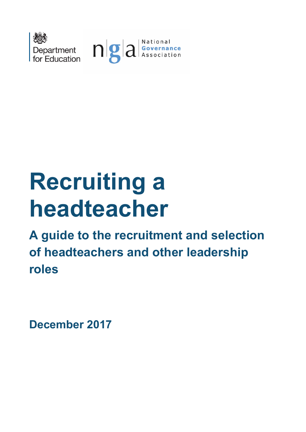

# **Recruiting a headteacher**

**A guide to the recruitment and selection of headteachers and other leadership roles**

**December 2017**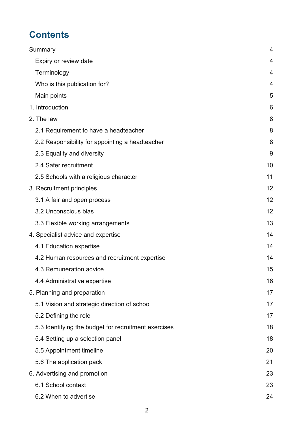# **Contents**

| Summary                                              | 4  |
|------------------------------------------------------|----|
| Expiry or review date                                | 4  |
| Terminology                                          | 4  |
| Who is this publication for?                         | 4  |
| Main points                                          | 5  |
| 1. Introduction                                      | 6  |
| 2. The law                                           | 8  |
| 2.1 Requirement to have a headteacher                | 8  |
| 2.2 Responsibility for appointing a headteacher      | 8  |
| 2.3 Equality and diversity                           | 9  |
| 2.4 Safer recruitment                                | 10 |
| 2.5 Schools with a religious character               | 11 |
| 3. Recruitment principles                            | 12 |
| 3.1 A fair and open process                          | 12 |
| 3.2 Unconscious bias                                 | 12 |
| 3.3 Flexible working arrangements                    | 13 |
| 4. Specialist advice and expertise                   | 14 |
| 4.1 Education expertise                              | 14 |
| 4.2 Human resources and recruitment expertise        | 14 |
| 4.3 Remuneration advice                              | 15 |
| 4.4 Administrative expertise                         | 16 |
| 5. Planning and preparation                          | 17 |
| 5.1 Vision and strategic direction of school         | 17 |
| 5.2 Defining the role                                | 17 |
| 5.3 Identifying the budget for recruitment exercises | 18 |
| 5.4 Setting up a selection panel                     | 18 |
| 5.5 Appointment timeline                             | 20 |
| 5.6 The application pack                             | 21 |
| 6. Advertising and promotion                         | 23 |
| 6.1 School context                                   | 23 |
| 6.2 When to advertise                                | 24 |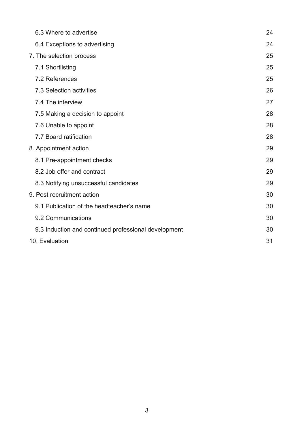| 6.3 Where to advertise                               | 24 |
|------------------------------------------------------|----|
| 6.4 Exceptions to advertising                        | 24 |
| 7. The selection process                             | 25 |
| 7.1 Shortlisting                                     | 25 |
| 7.2 References                                       | 25 |
| 7.3 Selection activities                             | 26 |
| 7.4 The interview                                    | 27 |
| 7.5 Making a decision to appoint                     | 28 |
| 7.6 Unable to appoint                                | 28 |
| 7.7 Board ratification                               | 28 |
| 8. Appointment action                                | 29 |
| 8.1 Pre-appointment checks                           | 29 |
| 8.2 Job offer and contract                           | 29 |
| 8.3 Notifying unsuccessful candidates                | 29 |
| 9. Post recruitment action                           | 30 |
| 9.1 Publication of the headteacher's name            | 30 |
| 9.2 Communications                                   | 30 |
| 9.3 Induction and continued professional development | 30 |
| 10. Evaluation                                       | 31 |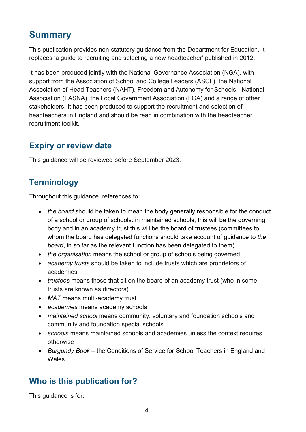# <span id="page-3-0"></span>**Summary**

This publication provides non-statutory guidance from the Department for Education. It replaces 'a guide to recruiting and selecting a new headteacher' published in 2012.

It has been produced jointly with the National Governance Association (NGA), with support from the Association of School and College Leaders (ASCL), the National Association of Head Teachers (NAHT), Freedom and Autonomy for Schools - National Association (FASNA), the Local Government Association (LGA) and a range of other stakeholders. It has been produced to support the recruitment and selection of headteachers in England and should be read in combination with the headteacher recruitment toolkit.

# <span id="page-3-1"></span>**Expiry or review date**

This guidance will be reviewed before September 2023.

# <span id="page-3-2"></span>**Terminology**

Throughout this guidance, references to:

- *the board* should be taken to mean the body generally responsible for the conduct of a school or group of schools: in maintained schools, this will be the governing body and in an academy trust this will be the board of trustees (committees to whom the board has delegated functions should take account of guidance to *the board*, in so far as the relevant function has been delegated to them)
- *the organisation* means the school or group of schools being governed
- *academy trusts* should be taken to include trusts which are proprietors of academies
- *trustees* means those that sit on the board of an academy trust (who in some trusts are known as directors)
- *MAT* means multi-academy trust
- *academies* means academy schools
- *maintained school* means community, voluntary and foundation schools and community and foundation special schools
- *schools* means maintained schools and academies unless the context requires otherwise
- *Burgundy Book* the Conditions of Service for School Teachers in England and **Wales**

# <span id="page-3-3"></span>**Who is this publication for?**

This guidance is for: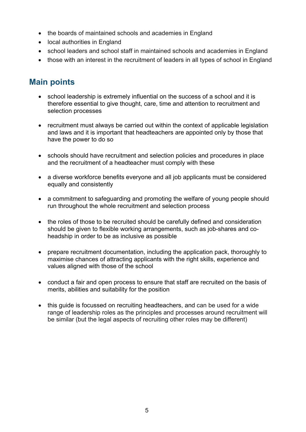- the boards of maintained schools and academies in England
- local authorities in England
- school leaders and school staff in maintained schools and academies in England
- those with an interest in the recruitment of leaders in all types of school in England

## <span id="page-4-0"></span>**Main points**

- school leadership is extremely influential on the success of a school and it is therefore essential to give thought, care, time and attention to recruitment and selection processes
- recruitment must always be carried out within the context of applicable legislation and laws and it is important that headteachers are appointed only by those that have the power to do so
- schools should have recruitment and selection policies and procedures in place and the recruitment of a headteacher must comply with these
- a diverse workforce benefits everyone and all job applicants must be considered equally and consistently
- a commitment to safeguarding and promoting the welfare of young people should run throughout the whole recruitment and selection process
- the roles of those to be recruited should be carefully defined and consideration should be given to flexible working arrangements, such as job-shares and coheadship in order to be as inclusive as possible
- prepare recruitment documentation, including the application pack, thoroughly to maximise chances of attracting applicants with the right skills, experience and values aligned with those of the school
- conduct a fair and open process to ensure that staff are recruited on the basis of merits, abilities and suitability for the position
- this guide is focussed on recruiting headteachers, and can be used for a wide range of leadership roles as the principles and processes around recruitment will be similar (but the legal aspects of recruiting other roles may be different)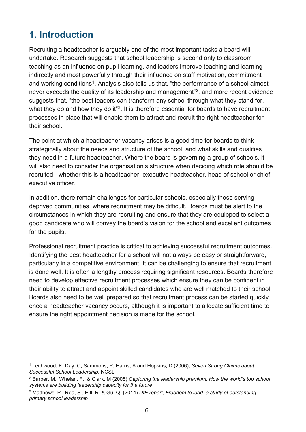# <span id="page-5-0"></span>**1. Introduction**

 $\overline{a}$ 

Recruiting a headteacher is arguably one of the most important tasks a board will undertake. Research suggests that school leadership is second only to classroom teaching as an influence on pupil learning, and leaders improve teaching and learning indirectly and most powerfully through their influence on staff motivation, commitment and working conditions<sup>1</sup>. Analysis also tells us that, "the performance of a school almost never exceeds the quality of its leadership and management"[2,](#page-5-2) and more recent evidence suggests that, "the best leaders can transform any school through what they stand for, what they do and how they do it"<sup>[3](#page-5-3)</sup>. It is therefore essential for boards to have recruitment processes in place that will enable them to attract and recruit the right headteacher for their school.

The point at which a headteacher vacancy arises is a good time for boards to think strategically about the needs and structure of the school, and what skills and qualities they need in a future headteacher. Where the board is governing a group of schools, it will also need to consider the organisation's structure when deciding which role should be recruited - whether this is a headteacher, executive headteacher, head of school or chief executive officer

In addition, there remain challenges for particular schools, especially those serving deprived communities, where recruitment may be difficult. Boards must be alert to the circumstances in which they are recruiting and ensure that they are equipped to select a good candidate who will convey the board's vision for the school and excellent outcomes for the pupils.

Professional recruitment practice is critical to achieving successful recruitment outcomes. Identifying the best headteacher for a school will not always be easy or straightforward, particularly in a competitive environment. It can be challenging to ensure that recruitment is done well. It is often a lengthy process requiring significant resources. Boards therefore need to develop effective recruitment processes which ensure they can be confident in their ability to attract and appoint skilled candidates who are well matched to their school. Boards also need to be well prepared so that recruitment process can be started quickly once a headteacher vacancy occurs, although it is important to allocate sufficient time to ensure the right appointment decision is made for the school.

<span id="page-5-1"></span><sup>1</sup> Leithwood, K, Day, C, Sammons, P, Harris, A and Hopkins, D (2006), *Seven Strong Claims about Successful School Leadership*, NCSL

<span id="page-5-2"></span><sup>2</sup> Barber. M., Whelan. F., & Clark. M (2008) *Capturing the leadership premium: How the world's top school systems are building leadership capacity for the future*

<span id="page-5-3"></span><sup>3</sup> Matthews, P., Rea, S., Hill, R. & Gu, Q. (2014) *DfE report, Freedom to lead: a study of outstanding primary school leadership*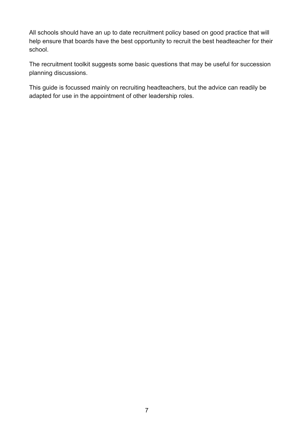All schools should have an up to date recruitment policy based on good practice that will help ensure that boards have the best opportunity to recruit the best headteacher for their school.

The recruitment toolkit suggests some basic questions that may be useful for succession planning discussions.

This guide is focussed mainly on recruiting headteachers, but the advice can readily be adapted for use in the appointment of other leadership roles.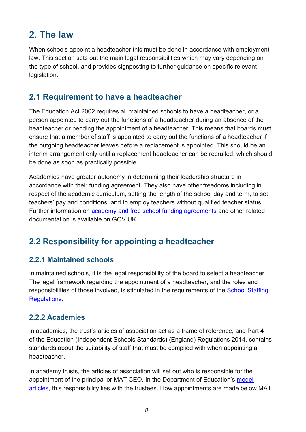# <span id="page-7-0"></span>**2. The law**

When schools appoint a headteacher this must be done in accordance with employment law. This section sets out the main legal responsibilities which may vary depending on the type of school, and provides signposting to further guidance on specific relevant legislation.

## <span id="page-7-1"></span>**2.1 Requirement to have a headteacher**

The Education Act 2002 requires all maintained schools to have a headteacher, or a person appointed to carry out the functions of a headteacher during an absence of the headteacher or pending the appointment of a headteacher. This means that boards must ensure that a member of staff is appointed to carry out the functions of a headteacher if the outgoing headteacher leaves before a replacement is appointed. This should be an interim arrangement only until a replacement headteacher can be recruited, which should be done as soon as practically possible.

Academies have greater autonomy in determining their leadership structure in accordance with their funding agreement. They also have other freedoms including in respect of the academic curriculum, setting the length of the school day and term, to set teachers' pay and conditions, and to employ teachers without qualified teacher status. Further information on [academy and free school funding agreements a](https://www.gov.uk/government/collections/convert-to-an-academy-documents-for-schools)nd other related documentation is available on GOV.UK.

# <span id="page-7-2"></span>**2.2 Responsibility for appointing a headteacher**

#### **2.2.1 Maintained schools**

In maintained schools, it is the legal responsibility of the board to select a headteacher. The legal framework regarding the appointment of a headteacher, and the roles and responsibilities of those involved, is stipulated in the requirements of the [School Staffing](http://www.legislation.gov.uk/uksi/2009/2680/pdfs/uksi_20092680_en.pdf)  [Regulations.](http://www.legislation.gov.uk/uksi/2009/2680/pdfs/uksi_20092680_en.pdf)

#### **2.2.2 Academies**

In academies, the trust's articles of association act as a frame of reference, and Part 4 of the Education (Independent Schools Standards) (England) Regulations 2014, contains standards about the suitability of staff that must be complied with when appointing a headteacher.

In academy trusts, the articles of association will set out who is responsible for the appointment of the principal or MAT CEO. In the Department of Education's [model](https://www.gov.uk/government/publications/academy-model-memorandum-and-articles-of-association)  [articles,](https://www.gov.uk/government/publications/academy-model-memorandum-and-articles-of-association) this responsibility lies with the trustees. How appointments are made below MAT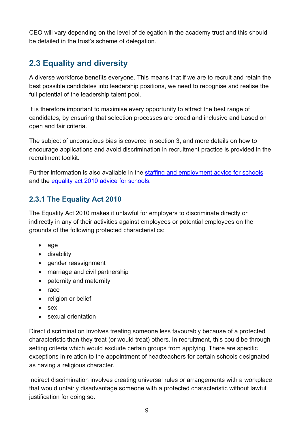CEO will vary depending on the level of delegation in the academy trust and this should be detailed in the trust's scheme of delegation.

# <span id="page-8-0"></span>**2.3 Equality and diversity**

A diverse workforce benefits everyone. This means that if we are to recruit and retain the best possible candidates into leadership positions, we need to recognise and realise the full potential of the leadership talent pool.

It is therefore important to maximise every opportunity to attract the best range of candidates, by ensuring that selection processes are broad and inclusive and based on open and fair criteria.

The subject of unconscious bias is covered in section 3, and more details on how to encourage applications and avoid discrimination in recruitment practice is provided in the recruitment toolkit.

Further information is also available in the [staffing and employment advice for schools](https://www.gov.uk/government/publications/staffing-and-employment-advice-for-schools) and the [equality act 2010 advice for schools.](https://www.gov.uk/government/publications/equality-act-2010-advice-for-schools)

#### **2.3.1 The Equality Act 2010**

The Equality Act 2010 makes it unlawful for employers to discriminate directly or indirectly in any of their activities against employees or potential employees on the grounds of the following protected characteristics:

- age
- disability
- gender reassignment
- marriage and civil partnership
- paternity and maternity
- race
- religion or belief
- sex
- sexual orientation

Direct discrimination involves treating someone less favourably because of a protected characteristic than they treat (or would treat) others. In recruitment, this could be through setting criteria which would exclude certain groups from applying. There are specific exceptions in relation to the appointment of headteachers for certain schools designated as having a religious character.

Indirect discrimination involves creating universal rules or arrangements with a workplace that would unfairly disadvantage someone with a protected characteristic without lawful justification for doing so.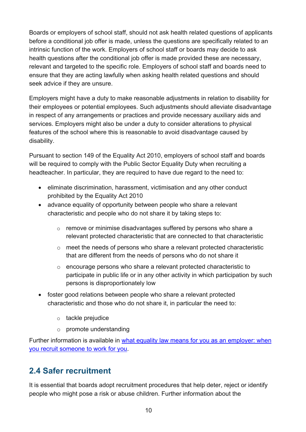Boards or employers of school staff, should not ask health related questions of applicants before a conditional job offer is made, unless the questions are specifically related to an intrinsic function of the work. Employers of school staff or boards may decide to ask health questions after the conditional job offer is made provided these are necessary, relevant and targeted to the specific role. Employers of school staff and boards need to ensure that they are acting lawfully when asking health related questions and should seek advice if they are unsure.

Employers might have a duty to make reasonable adjustments in relation to disability for their employees or potential employees. Such adjustments should alleviate disadvantage in respect of any arrangements or practices and provide necessary auxiliary aids and services. Employers might also be under a duty to consider alterations to physical features of the school where this is reasonable to avoid disadvantage caused by disability.

Pursuant to section 149 of the Equality Act 2010, employers of school staff and boards will be required to comply with the Public Sector Equality Duty when recruiting a headteacher. In particular, they are required to have due regard to the need to:

- eliminate discrimination, harassment, victimisation and any other conduct prohibited by the Equality Act 2010
- advance equality of opportunity between people who share a relevant characteristic and people who do not share it by taking steps to:
	- o remove or minimise disadvantages suffered by persons who share a relevant protected characteristic that are connected to that characteristic
	- $\circ$  meet the needs of persons who share a relevant protected characteristic that are different from the needs of persons who do not share it
	- o encourage persons who share a relevant protected characteristic to participate in public life or in any other activity in which participation by such persons is disproportionately low
- foster good relations between people who share a relevant protected characteristic and those who do not share it, in particular the need to:
	- o tackle prejudice
	- o promote understanding

Further information is available in [what equality law means for you as an employer: when](https://www.equalityhumanrights.com/en/publication-download/what-equality-law-means-you-employer-when-you-recruit-someone-work-you)  [you recruit someone to work for you.](https://www.equalityhumanrights.com/en/publication-download/what-equality-law-means-you-employer-when-you-recruit-someone-work-you)

# <span id="page-9-0"></span>**2.4 Safer recruitment**

It is essential that boards adopt recruitment procedures that help deter, reject or identify people who might pose a risk or abuse children. Further information about the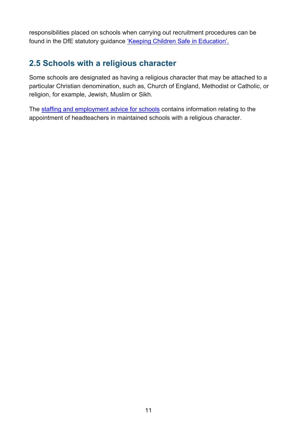responsibilities placed on schools when carrying out recruitment procedures can be found in the DfE statutory guidance ['Keeping Children Safe in Education'.](https://www.gov.uk/government/uploads/system/uploads/attachment_data/file/550511/Keeping_children_safe_in_education.pdf)

## <span id="page-10-0"></span>**2.5 Schools with a religious character**

Some schools are designated as having a religious character that may be attached to a particular Christian denomination, such as, Church of England, Methodist or Catholic, or religion, for example, Jewish, Muslim or Sikh.

The [staffing and employment advice for schools](https://www.gov.uk/government/publications/staffing-and-employment-advice-for-schools) contains information relating to the appointment of headteachers in maintained schools with a religious character.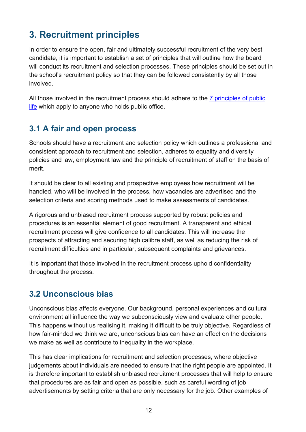# <span id="page-11-0"></span>**3. Recruitment principles**

In order to ensure the open, fair and ultimately successful recruitment of the very best candidate, it is important to establish a set of principles that will outline how the board will conduct its recruitment and selection processes. These principles should be set out in the school's recruitment policy so that they can be followed consistently by all those involved.

All those involved in the recruitment process should adhere to the [7 principles of public](https://www.gov.uk/government/publications/the-7-principles-of-public-life)  [life](https://www.gov.uk/government/publications/the-7-principles-of-public-life) which apply to anyone who holds public office.

# <span id="page-11-1"></span>**3.1 A fair and open process**

Schools should have a recruitment and selection policy which outlines a professional and consistent approach to recruitment and selection, adheres to equality and diversity policies and law, employment law and the principle of recruitment of staff on the basis of merit.

It should be clear to all existing and prospective employees how recruitment will be handled, who will be involved in the process, how vacancies are advertised and the selection criteria and scoring methods used to make assessments of candidates.

A rigorous and unbiased recruitment process supported by robust policies and procedures is an essential element of good recruitment. A transparent and ethical recruitment process will give confidence to all candidates. This will increase the prospects of attracting and securing high calibre staff, as well as reducing the risk of recruitment difficulties and in particular, subsequent complaints and grievances.

It is important that those involved in the recruitment process uphold confidentiality throughout the process.

## <span id="page-11-2"></span>**3.2 Unconscious bias**

Unconscious bias affects everyone. Our background, personal experiences and cultural environment all influence the way we subconsciously view and evaluate other people. This happens without us realising it, making it difficult to be truly objective. Regardless of how fair-minded we think we are, unconscious bias can have an effect on the decisions we make as well as contribute to inequality in the workplace.

This has clear implications for recruitment and selection processes, where objective judgements about individuals are needed to ensure that the right people are appointed. It is therefore important to establish unbiased recruitment processes that will help to ensure that procedures are as fair and open as possible, such as careful wording of job advertisements by setting criteria that are only necessary for the job. Other examples of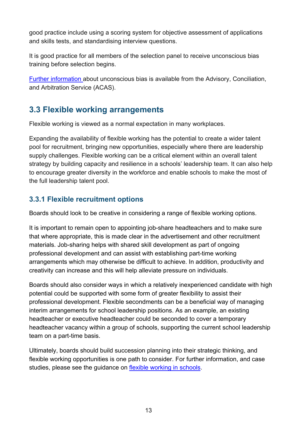good practice include using a scoring system for objective assessment of applications and skills tests, and standardising interview questions.

It is good practice for all members of the selection panel to receive unconscious bias training before selection begins.

[Further information a](http://www.acas.org.uk/index.aspx?articleid=5433)bout unconscious bias is available from the Advisory, Conciliation, and Arbitration Service (ACAS).

# <span id="page-12-0"></span>**3.3 Flexible working arrangements**

Flexible working is viewed as a normal expectation in many workplaces.

Expanding the availability of flexible working has the potential to create a wider talent pool for recruitment, bringing new opportunities, especially where there are leadership supply challenges. Flexible working can be a critical element within an overall talent strategy by building capacity and resilience in a schools' leadership team. It can also help to encourage greater diversity in the workforce and enable schools to make the most of the full leadership talent pool.

#### **3.3.1 Flexible recruitment options**

Boards should look to be creative in considering a range of flexible working options.

It is important to remain open to appointing job-share headteachers and to make sure that where appropriate, this is made clear in the advertisement and other recruitment materials. Job-sharing helps with shared skill development as part of ongoing professional development and can assist with establishing part-time working arrangements which may otherwise be difficult to achieve. In addition, productivity and creativity can increase and this will help alleviate pressure on individuals.

Boards should also consider ways in which a relatively inexperienced candidate with high potential could be supported with some form of greater flexibility to assist their professional development. Flexible secondments can be a beneficial way of managing interim arrangements for school leadership positions. As an example, an existing headteacher or executive headteacher could be seconded to cover a temporary headteacher vacancy within a group of schools, supporting the current school leadership team on a part-time basis.

Ultimately, boards should build succession planning into their strategic thinking, and flexible working opportunities is one path to consider. For further information, and case studies, please see the guidance on [flexible working in schools.](https://www.gov.uk/government/publications/flexible-working-in-schools)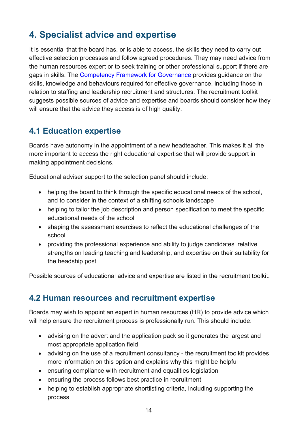# <span id="page-13-0"></span>**4. Specialist advice and expertise**

It is essential that the board has, or is able to access, the skills they need to carry out effective selection processes and follow agreed procedures. They may need advice from the human resources expert or to seek training or other professional support if there are gaps in skills. The [Competency Framework for Governance](https://www.gov.uk/government/uploads/system/uploads/attachment_data/file/583733/Competency_framework_for_governance_.pdf) provides guidance on the skills, knowledge and behaviours required for effective governance, including those in relation to staffing and leadership recruitment and structures. The recruitment toolkit suggests possible sources of advice and expertise and boards should consider how they will ensure that the advice they access is of high quality.

## <span id="page-13-1"></span>**4.1 Education expertise**

Boards have autonomy in the appointment of a new headteacher. This makes it all the more important to access the right educational expertise that will provide support in making appointment decisions.

Educational adviser support to the selection panel should include:

- helping the board to think through the specific educational needs of the school, and to consider in the context of a shifting schools landscape
- helping to tailor the job description and person specification to meet the specific educational needs of the school
- shaping the assessment exercises to reflect the educational challenges of the school
- providing the professional experience and ability to judge candidates' relative strengths on leading teaching and leadership, and expertise on their suitability for the headship post

Possible sources of educational advice and expertise are listed in the recruitment toolkit.

## <span id="page-13-2"></span>**4.2 Human resources and recruitment expertise**

Boards may wish to appoint an expert in human resources (HR) to provide advice which will help ensure the recruitment process is professionally run. This should include:

- advising on the advert and the application pack so it generates the largest and most appropriate application field
- advising on the use of a recruitment consultancy the recruitment toolkit provides more information on this option and explains why this might be helpful
- ensuring compliance with recruitment and equalities legislation
- ensuring the process follows best practice in recruitment
- helping to establish appropriate shortlisting criteria, including supporting the process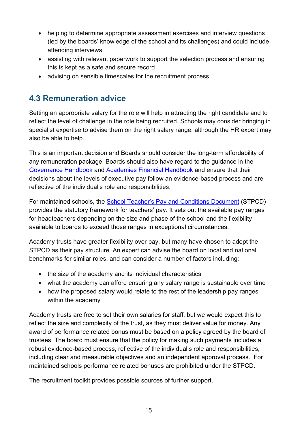- helping to determine appropriate assessment exercises and interview questions (led by the boards' knowledge of the school and its challenges) and could include attending interviews
- assisting with relevant paperwork to support the selection process and ensuring this is kept as a safe and secure record
- advising on sensible timescales for the recruitment process

# <span id="page-14-0"></span>**4.3 Remuneration advice**

Setting an appropriate salary for the role will help in attracting the right candidate and to reflect the level of challenge in the role being recruited. Schools may consider bringing in specialist expertise to advise them on the right salary range, although the HR expert may also be able to help.

This is an important decision and Boards should consider the long-term affordability of any remuneration package. Boards should also have regard to the guidance in the [Governance Handbook](https://www.gov.uk/government/publications/governance-handbook) and [Academies Financial Handbook](https://www.gov.uk/government/publications/academies-financial-handbook) and ensure that their decisions about the levels of executive pay follow an evidence-based process and are reflective of the individual's role and responsibilities.

For maintained schools, the School [Teacher's Pay and Conditions Document](https://www.gov.uk/government/publications/school-teachers-pay-and-conditions) (STPCD) provides the statutory framework for teachers' pay. It sets out the available pay ranges for headteachers depending on the size and phase of the school and the flexibility available to boards to exceed those ranges in exceptional circumstances.

Academy trusts have greater flexibility over pay, but many have chosen to adopt the STPCD as their pay structure. An expert can advise the board on local and national benchmarks for similar roles, and can consider a number of factors including:

- the size of the academy and its individual characteristics
- what the academy can afford ensuring any salary range is sustainable over time
- how the proposed salary would relate to the rest of the leadership pay ranges within the academy

Academy trusts are free to set their own salaries for staff, but we would expect this to reflect the size and complexity of the trust, as they must deliver value for money. Any award of performance related bonus must be based on a policy agreed by the board of trustees. The board must ensure that the policy for making such payments includes a robust evidence-based process, reflective of the individual's role and responsibilities, including clear and measurable objectives and an independent approval process. For maintained schools performance related bonuses are prohibited under the STPCD.

The recruitment toolkit provides possible sources of further support.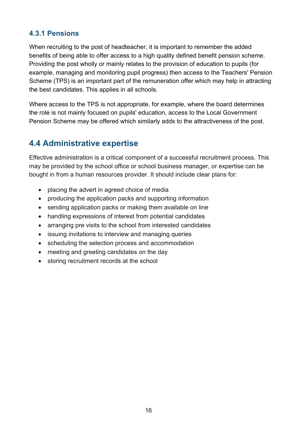#### **4.3.1 Pensions**

When recruiting to the post of headteacher, it is important to remember the added benefits of being able to offer access to a high quality defined benefit pension scheme. Providing the post wholly or mainly relates to the provision of education to pupils (for example, managing and monitoring pupil progress) then access to the Teachers' Pension Scheme (TPS) is an important part of the remuneration offer which may help in attracting the best candidates. This applies in all schools.

Where access to the TPS is not appropriate, for example, where the board determines the role is not mainly focused on pupils' education, access to the Local Government Pension Scheme may be offered which similarly adds to the attractiveness of the post.

## <span id="page-15-0"></span>**4.4 Administrative expertise**

Effective administration is a critical component of a successful recruitment process. This may be provided by the school office or school business manager, or expertise can be bought in from a human resources provider. It should include clear plans for:

- placing the advert in agreed choice of media
- producing the application packs and supporting information
- sending application packs or making them available on line
- handling expressions of interest from potential candidates
- arranging pre visits to the school from interested candidates
- issuing invitations to interview and managing queries
- scheduling the selection process and accommodation
- meeting and greeting candidates on the day
- storing recruitment records at the school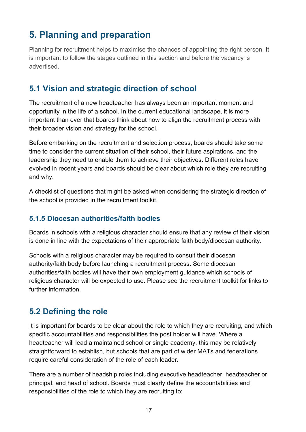# <span id="page-16-0"></span>**5. Planning and preparation**

Planning for recruitment helps to maximise the chances of appointing the right person. It is important to follow the stages outlined in this section and before the vacancy is advertised.

## <span id="page-16-1"></span>**5.1 Vision and strategic direction of school**

The recruitment of a new headteacher has always been an important moment and opportunity in the life of a school. In the current educational landscape, it is more important than ever that boards think about how to align the recruitment process with their broader vision and strategy for the school.

Before embarking on the recruitment and selection process, boards should take some time to consider the current situation of their school, their future aspirations, and the leadership they need to enable them to achieve their objectives. Different roles have evolved in recent years and boards should be clear about which role they are recruiting and why.

A checklist of questions that might be asked when considering the strategic direction of the school is provided in the recruitment toolkit.

#### **5.1.5 Diocesan authorities/faith bodies**

Boards in schools with a religious character should ensure that any review of their vision is done in line with the expectations of their appropriate faith body/diocesan authority.

Schools with a religious character may be required to consult their diocesan authority/faith body before launching a recruitment process. Some diocesan authorities/faith bodies will have their own employment guidance which schools of religious character will be expected to use. Please see the recruitment toolkit for links to further information.

# <span id="page-16-2"></span>**5.2 Defining the role**

It is important for boards to be clear about the role to which they are recruiting, and which specific accountabilities and responsibilities the post holder will have. Where a headteacher will lead a maintained school or single academy, this may be relatively straightforward to establish, but schools that are part of wider MATs and federations require careful consideration of the role of each leader.

There are a number of headship roles including executive headteacher, headteacher or principal, and head of school. Boards must clearly define the accountabilities and responsibilities of the role to which they are recruiting to: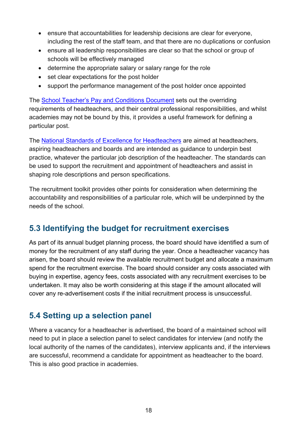- ensure that accountabilities for leadership decisions are clear for everyone, including the rest of the staff team, and that there are no duplications or confusion
- ensure all leadership responsibilities are clear so that the school or group of schools will be effectively managed
- determine the appropriate salary or salary range for the role
- set clear expectations for the post holder
- support the performance management of the post holder once appointed

The [School Teacher's Pay and Conditions Document](https://www.gov.uk/government/publications/school-teachers-pay-and-conditions) sets out the overriding requirements of headteachers, and their central professional responsibilities, and whilst academies may not be bound by this, it provides a useful framework for defining a particular post.

The [National Standards of Excellence for Headteachers](https://www.gov.uk/government/uploads/system/uploads/attachment_data/file/396247/National_Standards_of_Excellence_for_Headteachers.pdf) are aimed at headteachers, aspiring headteachers and boards and are intended as guidance to underpin best practice, whatever the particular job description of the headteacher. The standards can be used to support the recruitment and appointment of headteachers and assist in shaping role descriptions and person specifications.

The recruitment toolkit provides other points for consideration when determining the accountability and responsibilities of a particular role, which will be underpinned by the needs of the school.

# <span id="page-17-0"></span>**5.3 Identifying the budget for recruitment exercises**

As part of its annual budget planning process, the board should have identified a sum of money for the recruitment of any staff during the year. Once a headteacher vacancy has arisen, the board should review the available recruitment budget and allocate a maximum spend for the recruitment exercise. The board should consider any costs associated with buying in expertise, agency fees, costs associated with any recruitment exercises to be undertaken. It may also be worth considering at this stage if the amount allocated will cover any re-advertisement costs if the initial recruitment process is unsuccessful.

## <span id="page-17-1"></span>**5.4 Setting up a selection panel**

Where a vacancy for a headteacher is advertised, the board of a maintained school will need to put in place a selection panel to select candidates for interview (and notify the local authority of the names of the candidates), interview applicants and, if the interviews are successful, recommend a candidate for appointment as headteacher to the board. This is also good practice in academies.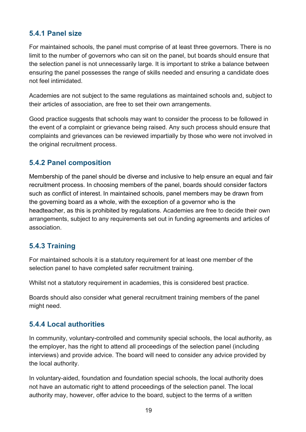#### **5.4.1 Panel size**

For maintained schools, the panel must comprise of at least three governors. There is no limit to the number of governors who can sit on the panel, but boards should ensure that the selection panel is not unnecessarily large. It is important to strike a balance between ensuring the panel possesses the range of skills needed and ensuring a candidate does not feel intimidated.

Academies are not subject to the same regulations as maintained schools and, subject to their articles of association, are free to set their own arrangements.

Good practice suggests that schools may want to consider the process to be followed in the event of a complaint or grievance being raised. Any such process should ensure that complaints and grievances can be reviewed impartially by those who were not involved in the original recruitment process.

#### **5.4.2 Panel composition**

Membership of the panel should be diverse and inclusive to help ensure an equal and fair recruitment process. In choosing members of the panel, boards should consider factors such as conflict of interest. In maintained schools, panel members may be drawn from the governing board as a whole, with the exception of a governor who is the headteacher, as this is prohibited by regulations. Academies are free to decide their own arrangements, subject to any requirements set out in funding agreements and articles of association.

#### **5.4.3 Training**

For maintained schools it is a statutory requirement for at least one member of the selection panel to have completed safer recruitment training.

Whilst not a statutory requirement in academies, this is considered best practice.

Boards should also consider what general recruitment training members of the panel might need.

#### **5.4.4 Local authorities**

In community, voluntary-controlled and community special schools, the local authority, as the employer, has the right to attend all proceedings of the selection panel (including interviews) and provide advice. The board will need to consider any advice provided by the local authority.

In voluntary-aided, foundation and foundation special schools, the local authority does not have an automatic right to attend proceedings of the selection panel. The local authority may, however, offer advice to the board, subject to the terms of a written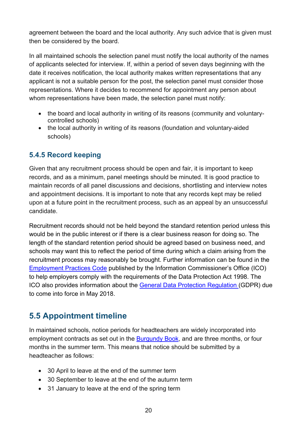agreement between the board and the local authority. Any such advice that is given must then be considered by the board.

In all maintained schools the selection panel must notify the local authority of the names of applicants selected for interview. If, within a period of seven days beginning with the date it receives notification, the local authority makes written representations that any applicant is not a suitable person for the post, the selection panel must consider those representations. Where it decides to recommend for appointment any person about whom representations have been made, the selection panel must notify:

- the board and local authority in writing of its reasons (community and voluntarycontrolled schools)
- the local authority in writing of its reasons (foundation and voluntary-aided schools)

#### **5.4.5 Record keeping**

Given that any recruitment process should be open and fair, it is important to keep records, and as a minimum, panel meetings should be minuted. It is good practice to maintain records of all panel discussions and decisions, shortlisting and interview notes and appointment decisions. It is important to note that any records kept may be relied upon at a future point in the recruitment process, such as an appeal by an unsuccessful candidate.

Recruitment records should not be held beyond the standard retention period unless this would be in the public interest or if there is a clear business reason for doing so. The length of the standard retention period should be agreed based on business need, and schools may want this to reflect the period of time during which a claim arising from the recruitment process may reasonably be brought. Further information can be found in the [Employment Practices Code](https://ico.org.uk/media/for-organisations/documents/1064/the_employment_practices_code.pdf) published by the Information Commissioner's Office (ICO) to help employers comply with the requirements of the Data Protection Act 1998. The ICO also provides information about the [General Data Protection Regulation \(](https://ico.org.uk/for-organisations/data-protection-reform/overview-of-the-gdpr/)GDPR) due to come into force in May 2018.

# <span id="page-19-0"></span>**5.5 Appointment timeline**

In maintained schools, notice periods for headteachers are widely incorporated into employment contracts as set out in the [Burgundy Book,](https://www.teachers.org.uk/sites/default/files2014/burgundy-book.pdf) and are three months, or four months in the summer term. This means that notice should be submitted by a headteacher as follows:

- 30 April to leave at the end of the summer term
- 30 September to leave at the end of the autumn term
- 31 January to leave at the end of the spring term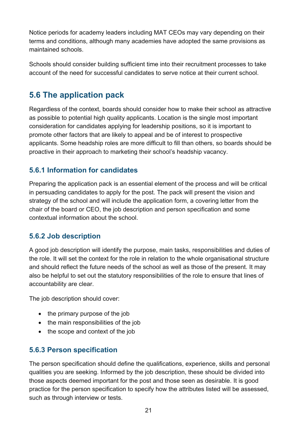Notice periods for academy leaders including MAT CEOs may vary depending on their terms and conditions, although many academies have adopted the same provisions as maintained schools.

Schools should consider building sufficient time into their recruitment processes to take account of the need for successful candidates to serve notice at their current school.

# <span id="page-20-0"></span>**5.6 The application pack**

Regardless of the context, boards should consider how to make their school as attractive as possible to potential high quality applicants. Location is the single most important consideration for candidates applying for leadership positions, so it is important to promote other factors that are likely to appeal and be of interest to prospective applicants. Some headship roles are more difficult to fill than others, so boards should be proactive in their approach to marketing their school's headship vacancy.

#### **5.6.1 Information for candidates**

Preparing the application pack is an essential element of the process and will be critical in persuading candidates to apply for the post. The pack will present the vision and strategy of the school and will include the application form, a covering letter from the chair of the board or CEO, the job description and person specification and some contextual information about the school.

#### **5.6.2 Job description**

A good job description will identify the purpose, main tasks, responsibilities and duties of the role. It will set the context for the role in relation to the whole organisational structure and should reflect the future needs of the school as well as those of the present. It may also be helpful to set out the statutory responsibilities of the role to ensure that lines of accountability are clear.

The job description should cover:

- the primary purpose of the job
- the main responsibilities of the job
- the scope and context of the job

#### **5.6.3 Person specification**

The person specification should define the qualifications, experience, skills and personal qualities you are seeking. Informed by the job description, these should be divided into those aspects deemed important for the post and those seen as desirable. It is good practice for the person specification to specify how the attributes listed will be assessed, such as through interview or tests.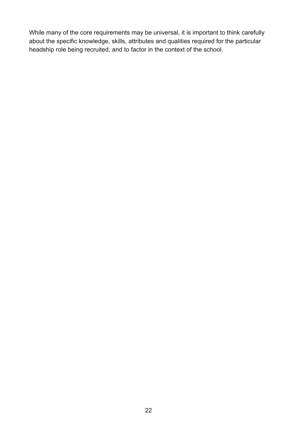While many of the core requirements may be universal, it is important to think carefully about the specific knowledge, skills, attributes and qualities required for the particular headship role being recruited, and to factor in the context of the school.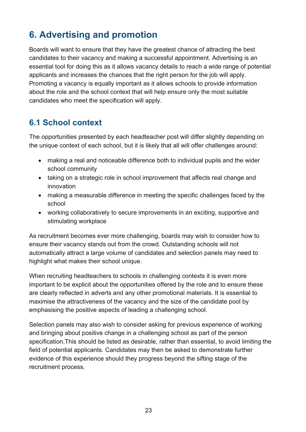# <span id="page-22-0"></span>**6. Advertising and promotion**

Boards will want to ensure that they have the greatest chance of attracting the best candidates to their vacancy and making a successful appointment. Advertising is an essential tool for doing this as it allows vacancy details to reach a wide range of potential applicants and increases the chances that the right person for the job will apply. Promoting a vacancy is equally important as it allows schools to provide information about the role and the school context that will help ensure only the most suitable candidates who meet the specification will apply.

## <span id="page-22-1"></span>**6.1 School context**

The opportunities presented by each headteacher post will differ slightly depending on the unique context of each school, but it is likely that all will offer challenges around:

- making a real and noticeable difference both to individual pupils and the wider school community
- taking on a strategic role in school improvement that affects real change and innovation
- making a measurable difference in meeting the specific challenges faced by the school
- working collaboratively to secure improvements in an exciting, supportive and stimulating workplace

As recruitment becomes ever more challenging, boards may wish to consider how to ensure their vacancy stands out from the crowd. Outstanding schools will not automatically attract a large volume of candidates and selection panels may need to highlight what makes their school unique.

When recruiting headteachers to schools in challenging contexts it is even more important to be explicit about the opportunities offered by the role and to ensure these are clearly reflected in adverts and any other promotional materials. It is essential to maximise the attractiveness of the vacancy and the size of the candidate pool by emphasising the positive aspects of leading a challenging school.

Selection panels may also wish to consider asking for previous experience of working and bringing about positive change in a challenging school as part of the person specification.This should be listed as desirable, rather than essential, to avoid limiting the field of potential applicants. Candidates may then be asked to demonstrate further evidence of this experience should they progress beyond the sifting stage of the recruitment process.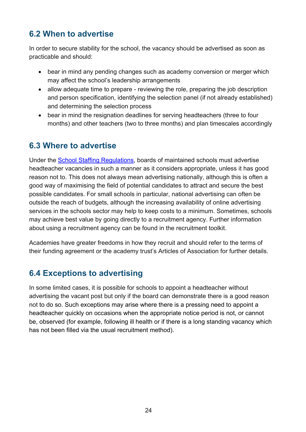# <span id="page-23-0"></span>**6.2 When to advertise**

In order to secure stability for the school, the vacancy should be advertised as soon as practicable and should:

- bear in mind any pending changes such as academy conversion or merger which may affect the school's leadership arrangements
- allow adequate time to prepare reviewing the role, preparing the job description and person specification, identifying the selection panel (if not already established) and determining the selection process
- bear in mind the resignation deadlines for serving headteachers (three to four months) and other teachers (two to three months) and plan timescales accordingly

# <span id="page-23-1"></span>**6.3 Where to advertise**

Under the [School Staffing Regulations,](http://www.legislation.gov.uk/uksi/2009/2680/pdfs/uksi_20092680_en.pdf) boards of maintained schools must advertise headteacher vacancies in such a manner as it considers appropriate, unless it has good reason not to. This does not always mean advertising nationally, although this is often a good way of maximising the field of potential candidates to attract and secure the best possible candidates. For small schools in particular, national advertising can often be outside the reach of budgets, although the increasing availability of online advertising services in the schools sector may help to keep costs to a minimum. Sometimes, schools may achieve best value by going directly to a recruitment agency. Further information about using a recruitment agency can be found in the recruitment toolkit.

Academies have greater freedoms in how they recruit and should refer to the terms of their funding agreement or the academy trust's Articles of Association for further details.

## <span id="page-23-2"></span>**6.4 Exceptions to advertising**

In some limited cases, it is possible for schools to appoint a headteacher without advertising the vacant post but only if the board can demonstrate there is a good reason not to do so. Such exceptions may arise where there is a pressing need to appoint a headteacher quickly on occasions when the appropriate notice period is not, or cannot be, observed (for example, following ill health or if there is a long standing vacancy which has not been filled via the usual recruitment method).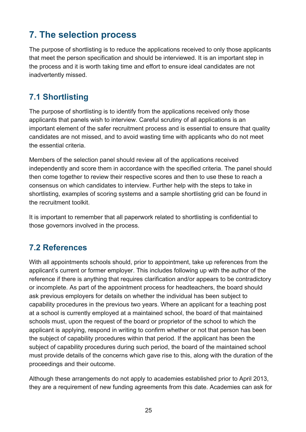# <span id="page-24-0"></span>**7. The selection process**

The purpose of shortlisting is to reduce the applications received to only those applicants that meet the person specification and should be interviewed. It is an important step in the process and it is worth taking time and effort to ensure ideal candidates are not inadvertently missed.

# <span id="page-24-1"></span>**7.1 Shortlisting**

The purpose of shortlisting is to identify from the applications received only those applicants that panels wish to interview. Careful scrutiny of all applications is an important element of the safer recruitment process and is essential to ensure that quality candidates are not missed, and to avoid wasting time with applicants who do not meet the essential criteria.

Members of the selection panel should review all of the applications received independently and score them in accordance with the specified criteria. The panel should then come together to review their respective scores and then to use these to reach a consensus on which candidates to interview. Further help with the steps to take in shortlisting, examples of scoring systems and a sample shortlisting grid can be found in the recruitment toolkit.

It is important to remember that all paperwork related to shortlisting is confidential to those governors involved in the process.

# <span id="page-24-2"></span>**7.2 References**

With all appointments schools should, prior to appointment, take up references from the applicant's current or former employer. This includes following up with the author of the reference if there is anything that requires clarification and/or appears to be contradictory or incomplete. As part of the appointment process for headteachers, the board should ask previous employers for details on whether the individual has been subject to capability procedures in the previous two years. Where an applicant for a teaching post at a school is currently employed at a maintained school, the board of that maintained schools must, upon the request of the board or proprietor of the school to which the applicant is applying, respond in writing to confirm whether or not that person has been the subject of capability procedures within that period. If the applicant has been the subject of capability procedures during such period, the board of the maintained school must provide details of the concerns which gave rise to this, along with the duration of the proceedings and their outcome.

Although these arrangements do not apply to academies established prior to April 2013, they are a requirement of new funding agreements from this date. Academies can ask for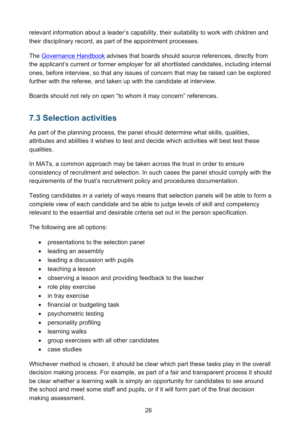relevant information about a leader's capability, their suitability to work with children and their disciplinary record, as part of the appointment processes.

The [Governance Handbook](https://www.gov.uk/government/publications/governance-handbook) advises that boards should source references, directly from the applicant's current or former employer for all shortlisted candidates, including internal ones, before interview, so that any issues of concern that may be raised can be explored further with the referee, and taken up with the candidate at interview.

Boards should not rely on open "to whom it may concern" references.

# <span id="page-25-0"></span>**7.3 Selection activities**

As part of the planning process, the panel should determine what skills, qualities, attributes and abilities it wishes to test and decide which activities will best test these qualities.

In MATs, a common approach may be taken across the trust in order to ensure consistency of recruitment and selection. In such cases the panel should comply with the requirements of the trust's recruitment policy and procedures documentation.

Testing candidates in a variety of ways means that selection panels will be able to form a complete view of each candidate and be able to judge levels of skill and competency relevant to the essential and desirable criteria set out in the person specification.

The following are all options:

- presentations to the selection panel
- leading an assembly
- leading a discussion with pupils
- teaching a lesson
- observing a lesson and providing feedback to the teacher
- role play exercise
- in tray exercise
- financial or budgeting task
- psychometric testing
- personality profiling
- learning walks
- group exercises with all other candidates
- case studies

Whichever method is chosen, it should be clear which part these tasks play in the overall decision making process. For example, as part of a fair and transparent process it should be clear whether a learning walk is simply an opportunity for candidates to see around the school and meet some staff and pupils, or if it will form part of the final decision making assessment.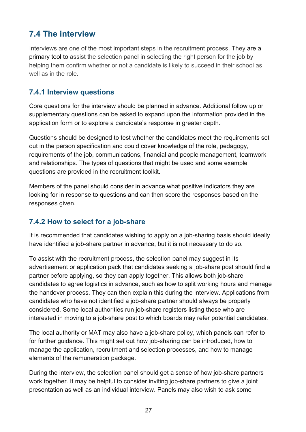# <span id="page-26-0"></span>**7.4 The interview**

Interviews are one of the most important steps in the recruitment process. They are a primary tool to assist the selection panel in selecting the right person for the job by helping them confirm whether or not a candidate is likely to succeed in their school as well as in the role.

#### **7.4.1 Interview questions**

Core questions for the interview should be planned in advance. Additional follow up or supplementary questions can be asked to expand upon the information provided in the application form or to explore a candidate's response in greater depth.

Questions should be designed to test whether the candidates meet the requirements set out in the person specification and could cover knowledge of the role, pedagogy, requirements of the job, communications, financial and people management, teamwork and relationships. The types of questions that might be used and some example questions are provided in the recruitment toolkit.

Members of the panel should consider in advance what positive indicators they are looking for in response to questions and can then score the responses based on the responses given.

#### **7.4.2 How to select for a job-share**

It is recommended that candidates wishing to apply on a job-sharing basis should ideally have identified a job-share partner in advance, but it is not necessary to do so.

To assist with the recruitment process, the selection panel may suggest in its advertisement or application pack that candidates seeking a job-share post should find a partner before applying, so they can apply together. This allows both job-share candidates to agree logistics in advance, such as how to split working hours and manage the handover process. They can then explain this during the interview. Applications from candidates who have not identified a job-share partner should always be properly considered. Some local authorities run job-share registers listing those who are interested in moving to a job-share post to which boards may refer potential candidates.

The local authority or MAT may also have a job-share policy, which panels can refer to for further guidance. This might set out how job-sharing can be introduced, how to manage the application, recruitment and selection processes, and how to manage elements of the remuneration package.

During the interview, the selection panel should get a sense of how job-share partners work together. It may be helpful to consider inviting job-share partners to give a joint presentation as well as an individual interview. Panels may also wish to ask some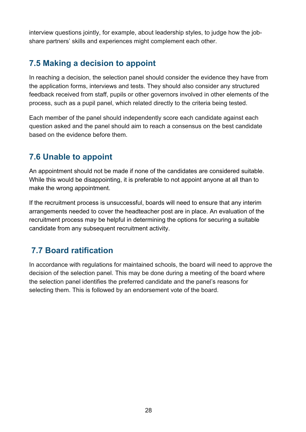interview questions jointly, for example, about leadership styles, to judge how the jobshare partners' skills and experiences might complement each other.

# <span id="page-27-0"></span>**7.5 Making a decision to appoint**

In reaching a decision, the selection panel should consider the evidence they have from the application forms, interviews and tests. They should also consider any structured feedback received from staff, pupils or other governors involved in other elements of the process, such as a pupil panel, which related directly to the criteria being tested.

Each member of the panel should independently score each candidate against each question asked and the panel should aim to reach a consensus on the best candidate based on the evidence before them.

# <span id="page-27-1"></span>**7.6 Unable to appoint**

An appointment should not be made if none of the candidates are considered suitable. While this would be disappointing, it is preferable to not appoint anyone at all than to make the wrong appointment.

If the recruitment process is unsuccessful, boards will need to ensure that any interim arrangements needed to cover the headteacher post are in place. An evaluation of the recruitment process may be helpful in determining the options for securing a suitable candidate from any subsequent recruitment activity.

# <span id="page-27-2"></span>**7.7 Board ratification**

In accordance with regulations for maintained schools, the board will need to approve the decision of the selection panel. This may be done during a meeting of the board where the selection panel identifies the preferred candidate and the panel's reasons for selecting them. This is followed by an endorsement vote of the board.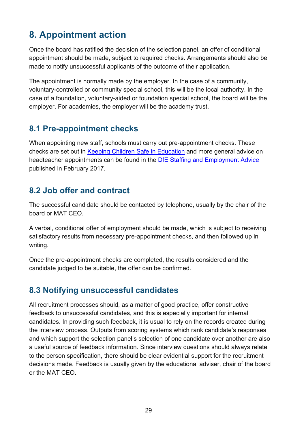# <span id="page-28-0"></span>**8. Appointment action**

Once the board has ratified the decision of the selection panel, an offer of conditional appointment should be made, subject to required checks. Arrangements should also be made to notify unsuccessful applicants of the outcome of their application.

The appointment is normally made by the employer. In the case of a community, voluntary-controlled or community special school, this will be the local authority. In the case of a foundation, voluntary-aided or foundation special school, the board will be the employer. For academies, the employer will be the academy trust.

# <span id="page-28-1"></span>**8.1 Pre-appointment checks**

When appointing new staff, schools must carry out pre-appointment checks. These checks are set out in [Keeping Children Safe in Education](https://protect-eu.mimecast.com/s/6D43Bi72Omubx) and more general advice on headteacher appointments can be found in the [DfE Staffing and Employment Advice](https://protect-eu.mimecast.com/s/NDE0BiYm6RIx9) published in February 2017.

# <span id="page-28-2"></span>**8.2 Job offer and contract**

The successful candidate should be contacted by telephone, usually by the chair of the board or MAT CEO.

A verbal, conditional offer of employment should be made, which is subject to receiving satisfactory results from necessary pre-appointment checks, and then followed up in writing.

Once the pre-appointment checks are completed, the results considered and the candidate judged to be suitable, the offer can be confirmed.

# <span id="page-28-3"></span>**8.3 Notifying unsuccessful candidates**

All recruitment processes should, as a matter of good practice, offer constructive feedback to unsuccessful candidates, and this is especially important for internal candidates. In providing such feedback, it is usual to rely on the records created during the interview process. Outputs from scoring systems which rank candidate's responses and which support the selection panel's selection of one candidate over another are also a useful source of feedback information. Since interview questions should always relate to the person specification, there should be clear evidential support for the recruitment decisions made. Feedback is usually given by the educational adviser, chair of the board or the MAT CEO.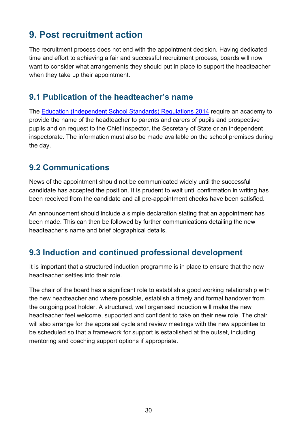# <span id="page-29-0"></span>**9. Post recruitment action**

The recruitment process does not end with the appointment decision. Having dedicated time and effort to achieving a fair and successful recruitment process, boards will now want to consider what arrangements they should put in place to support the headteacher when they take up their appointment.

### <span id="page-29-1"></span>**9.1 Publication of the headteacher's name**

The [Education \(Independent School Standards\) Regulations 2014](http://www.legislation.gov.uk/uksi/2014/3283/contents/made) require an academy to provide the name of the headteacher to parents and carers of pupils and prospective pupils and on request to the Chief Inspector, the Secretary of State or an independent inspectorate. The information must also be made available on the school premises during the day.

#### <span id="page-29-2"></span>**9.2 Communications**

News of the appointment should not be communicated widely until the successful candidate has accepted the position. It is prudent to wait until confirmation in writing has been received from the candidate and all pre-appointment checks have been satisfied.

An announcement should include a simple declaration stating that an appointment has been made. This can then be followed by further communications detailing the new headteacher's name and brief biographical details.

## <span id="page-29-3"></span>**9.3 Induction and continued professional development**

It is important that a structured induction programme is in place to ensure that the new headteacher settles into their role.

The chair of the board has a significant role to establish a good working relationship with the new headteacher and where possible, establish a timely and formal handover from the outgoing post holder. A structured, well organised induction will make the new headteacher feel welcome, supported and confident to take on their new role. The chair will also arrange for the appraisal cycle and review meetings with the new appointee to be scheduled so that a framework for support is established at the outset, including mentoring and coaching support options if appropriate.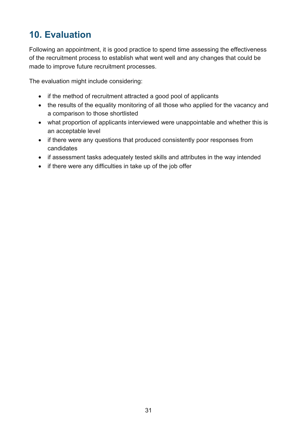# <span id="page-30-0"></span>**10. Evaluation**

Following an appointment, it is good practice to spend time assessing the effectiveness of the recruitment process to establish what went well and any changes that could be made to improve future recruitment processes.

The evaluation might include considering:

- if the method of recruitment attracted a good pool of applicants
- the results of the equality monitoring of all those who applied for the vacancy and a comparison to those shortlisted
- what proportion of applicants interviewed were unappointable and whether this is an acceptable level
- if there were any questions that produced consistently poor responses from candidates
- if assessment tasks adequately tested skills and attributes in the way intended
- if there were any difficulties in take up of the job offer